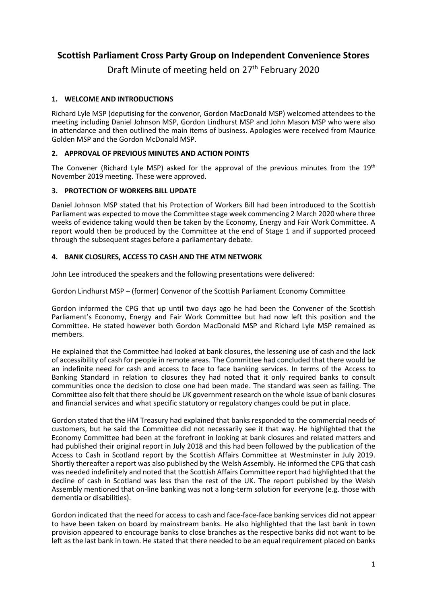# **Scottish Parliament Cross Party Group on Independent Convenience Stores**

Draft Minute of meeting held on 27<sup>th</sup> February 2020

# **1. WELCOME AND INTRODUCTIONS**

Richard Lyle MSP (deputising for the convenor, Gordon MacDonald MSP) welcomed attendees to the meeting including Daniel Johnson MSP, Gordon Lindhurst MSP and John Mason MSP who were also in attendance and then outlined the main items of business. Apologies were received from Maurice Golden MSP and the Gordon McDonald MSP.

# **2. APPROVAL OF PREVIOUS MINUTES AND ACTION POINTS**

The Convener (Richard Lyle MSP) asked for the approval of the previous minutes from the  $19<sup>th</sup>$ November 2019 meeting. These were approved.

# **3. PROTECTION OF WORKERS BILL UPDATE**

Daniel Johnson MSP stated that his Protection of Workers Bill had been introduced to the Scottish Parliament was expected to move the Committee stage week commencing 2 March 2020 where three weeks of evidence taking would then be taken by the Economy, Energy and Fair Work Committee. A report would then be produced by the Committee at the end of Stage 1 and if supported proceed through the subsequent stages before a parliamentary debate.

# **4. BANK CLOSURES, ACCESS TO CASH AND THE ATM NETWORK**

John Lee introduced the speakers and the following presentations were delivered:

#### Gordon Lindhurst MSP – (former) Convenor of the Scottish Parliament Economy Committee

Gordon informed the CPG that up until two days ago he had been the Convener of the Scottish Parliament's Economy, Energy and Fair Work Committee but had now left this position and the Committee. He stated however both Gordon MacDonald MSP and Richard Lyle MSP remained as members.

He explained that the Committee had looked at bank closures, the lessening use of cash and the lack of accessibility of cash for people in remote areas. The Committee had concluded that there would be an indefinite need for cash and access to face to face banking services. In terms of the Access to Banking Standard in relation to closures they had noted that it only required banks to consult communities once the decision to close one had been made. The standard was seen as failing. The Committee also felt that there should be UK government research on the whole issue of bank closures and financial services and what specific statutory or regulatory changes could be put in place.

Gordon stated that the HM Treasury had explained that banks responded to the commercial needs of customers, but he said the Committee did not necessarily see it that way. He highlighted that the Economy Committee had been at the forefront in looking at bank closures and related matters and had published their original report in July 2018 and this had been followed by the publication of the Access to Cash in Scotland report by the Scottish Affairs Committee at Westminster in July 2019. Shortly thereafter a report was also published by the Welsh Assembly. He informed the CPG that cash was needed indefinitely and noted that the Scottish Affairs Committee report had highlighted that the decline of cash in Scotland was less than the rest of the UK. The report published by the Welsh Assembly mentioned that on-line banking was not a long-term solution for everyone (e.g. those with dementia or disabilities).

Gordon indicated that the need for access to cash and face-face-face banking services did not appear to have been taken on board by mainstream banks. He also highlighted that the last bank in town provision appeared to encourage banks to close branches as the respective banks did not want to be left as the last bank in town. He stated that there needed to be an equal requirement placed on banks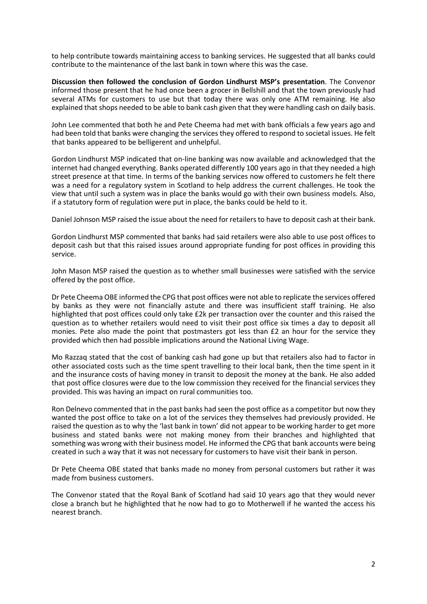to help contribute towards maintaining access to banking services. He suggested that all banks could contribute to the maintenance of the last bank in town where this was the case.

**Discussion then followed the conclusion of Gordon Lindhurst MSP's presentation**. The Convenor informed those present that he had once been a grocer in Bellshill and that the town previously had several ATMs for customers to use but that today there was only one ATM remaining. He also explained that shops needed to be able to bank cash given that they were handling cash on daily basis.

John Lee commented that both he and Pete Cheema had met with bank officials a few years ago and had been told that banks were changing the services they offered to respond to societal issues. He felt that banks appeared to be belligerent and unhelpful.

Gordon Lindhurst MSP indicated that on-line banking was now available and acknowledged that the internet had changed everything. Banks operated differently 100 years ago in that they needed a high street presence at that time. In terms of the banking services now offered to customers he felt there was a need for a regulatory system in Scotland to help address the current challenges. He took the view that until such a system was in place the banks would go with their own business models. Also, if a statutory form of regulation were put in place, the banks could be held to it.

Daniel Johnson MSP raised the issue about the need for retailers to have to deposit cash at their bank.

Gordon Lindhurst MSP commented that banks had said retailers were also able to use post offices to deposit cash but that this raised issues around appropriate funding for post offices in providing this service.

John Mason MSP raised the question as to whether small businesses were satisfied with the service offered by the post office.

Dr Pete Cheema OBE informed the CPG that post offices were not able to replicate the services offered by banks as they were not financially astute and there was insufficient staff training. He also highlighted that post offices could only take £2k per transaction over the counter and this raised the question as to whether retailers would need to visit their post office six times a day to deposit all monies. Pete also made the point that postmasters got less than £2 an hour for the service they provided which then had possible implications around the National Living Wage.

Mo Razzaq stated that the cost of banking cash had gone up but that retailers also had to factor in other associated costs such as the time spent travelling to their local bank, then the time spent in it and the insurance costs of having money in transit to deposit the money at the bank. He also added that post office closures were due to the low commission they received for the financial services they provided. This was having an impact on rural communities too.

Ron Delnevo commented that in the past banks had seen the post office as a competitor but now they wanted the post office to take on a lot of the services they themselves had previously provided. He raised the question as to why the 'last bank in town' did not appear to be working harder to get more business and stated banks were not making money from their branches and highlighted that something was wrong with their business model. He informed the CPG that bank accounts were being created in such a way that it was not necessary for customers to have visit their bank in person.

Dr Pete Cheema OBE stated that banks made no money from personal customers but rather it was made from business customers.

The Convenor stated that the Royal Bank of Scotland had said 10 years ago that they would never close a branch but he highlighted that he now had to go to Motherwell if he wanted the access his nearest branch.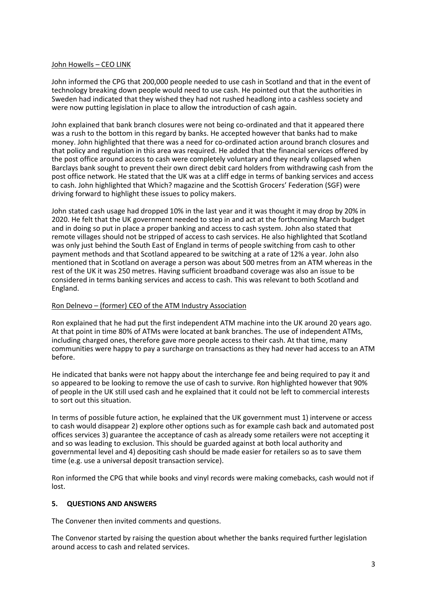#### John Howells – CEO LINK

John informed the CPG that 200,000 people needed to use cash in Scotland and that in the event of technology breaking down people would need to use cash. He pointed out that the authorities in Sweden had indicated that they wished they had not rushed headlong into a cashless society and were now putting legislation in place to allow the introduction of cash again.

John explained that bank branch closures were not being co-ordinated and that it appeared there was a rush to the bottom in this regard by banks. He accepted however that banks had to make money. John highlighted that there was a need for co-ordinated action around branch closures and that policy and regulation in this area was required. He added that the financial services offered by the post office around access to cash were completely voluntary and they nearly collapsed when Barclays bank sought to prevent their own direct debit card holders from withdrawing cash from the post office network. He stated that the UK was at a cliff edge in terms of banking services and access to cash. John highlighted that Which? magazine and the Scottish Grocers' Federation (SGF) were driving forward to highlight these issues to policy makers.

John stated cash usage had dropped 10% in the last year and it was thought it may drop by 20% in 2020. He felt that the UK government needed to step in and act at the forthcoming March budget and in doing so put in place a proper banking and access to cash system. John also stated that remote villages should not be stripped of access to cash services. He also highlighted that Scotland was only just behind the South East of England in terms of people switching from cash to other payment methods and that Scotland appeared to be switching at a rate of 12% a year. John also mentioned that in Scotland on average a person was about 500 metres from an ATM whereas in the rest of the UK it was 250 metres. Having sufficient broadband coverage was also an issue to be considered in terms banking services and access to cash. This was relevant to both Scotland and England.

#### Ron Delnevo – (former) CEO of the ATM Industry Association

Ron explained that he had put the first independent ATM machine into the UK around 20 years ago. At that point in time 80% of ATMs were located at bank branches. The use of independent ATMs, including charged ones, therefore gave more people access to their cash. At that time, many communities were happy to pay a surcharge on transactions as they had never had access to an ATM before.

He indicated that banks were not happy about the interchange fee and being required to pay it and so appeared to be looking to remove the use of cash to survive. Ron highlighted however that 90% of people in the UK still used cash and he explained that it could not be left to commercial interests to sort out this situation.

In terms of possible future action, he explained that the UK government must 1) intervene or access to cash would disappear 2) explore other options such as for example cash back and automated post offices services 3) guarantee the acceptance of cash as already some retailers were not accepting it and so was leading to exclusion. This should be guarded against at both local authority and governmental level and 4) depositing cash should be made easier for retailers so as to save them time (e.g. use a universal deposit transaction service).

Ron informed the CPG that while books and vinyl records were making comebacks, cash would not if lost.

#### **5. QUESTIONS AND ANSWERS**

The Convener then invited comments and questions.

The Convenor started by raising the question about whether the banks required further legislation around access to cash and related services.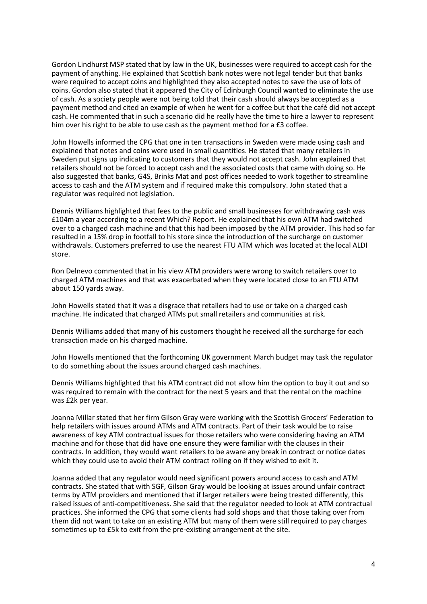Gordon Lindhurst MSP stated that by law in the UK, businesses were required to accept cash for the payment of anything. He explained that Scottish bank notes were not legal tender but that banks were required to accept coins and highlighted they also accepted notes to save the use of lots of coins. Gordon also stated that it appeared the City of Edinburgh Council wanted to eliminate the use of cash. As a society people were not being told that their cash should always be accepted as a payment method and cited an example of when he went for a coffee but that the café did not accept cash. He commented that in such a scenario did he really have the time to hire a lawyer to represent him over his right to be able to use cash as the payment method for a £3 coffee.

John Howells informed the CPG that one in ten transactions in Sweden were made using cash and explained that notes and coins were used in small quantities. He stated that many retailers in Sweden put signs up indicating to customers that they would not accept cash. John explained that retailers should not be forced to accept cash and the associated costs that came with doing so. He also suggested that banks, G4S, Brinks Mat and post offices needed to work together to streamline access to cash and the ATM system and if required make this compulsory. John stated that a regulator was required not legislation.

Dennis Williams highlighted that fees to the public and small businesses for withdrawing cash was £104m a year according to a recent Which? Report. He explained that his own ATM had switched over to a charged cash machine and that this had been imposed by the ATM provider. This had so far resulted in a 15% drop in footfall to his store since the introduction of the surcharge on customer withdrawals. Customers preferred to use the nearest FTU ATM which was located at the local ALDI store.

Ron Delnevo commented that in his view ATM providers were wrong to switch retailers over to charged ATM machines and that was exacerbated when they were located close to an FTU ATM about 150 yards away.

John Howells stated that it was a disgrace that retailers had to use or take on a charged cash machine. He indicated that charged ATMs put small retailers and communities at risk.

Dennis Williams added that many of his customers thought he received all the surcharge for each transaction made on his charged machine.

John Howells mentioned that the forthcoming UK government March budget may task the regulator to do something about the issues around charged cash machines.

Dennis Williams highlighted that his ATM contract did not allow him the option to buy it out and so was required to remain with the contract for the next 5 years and that the rental on the machine was £2k per year.

Joanna Millar stated that her firm Gilson Gray were working with the Scottish Grocers' Federation to help retailers with issues around ATMs and ATM contracts. Part of their task would be to raise awareness of key ATM contractual issues for those retailers who were considering having an ATM machine and for those that did have one ensure they were familiar with the clauses in their contracts. In addition, they would want retailers to be aware any break in contract or notice dates which they could use to avoid their ATM contract rolling on if they wished to exit it.

Joanna added that any regulator would need significant powers around access to cash and ATM contracts. She stated that with SGF, Gilson Gray would be looking at issues around unfair contract terms by ATM providers and mentioned that if larger retailers were being treated differently, this raised issues of anti-competitiveness. She said that the regulator needed to look at ATM contractual practices. She informed the CPG that some clients had sold shops and that those taking over from them did not want to take on an existing ATM but many of them were still required to pay charges sometimes up to £5k to exit from the pre-existing arrangement at the site.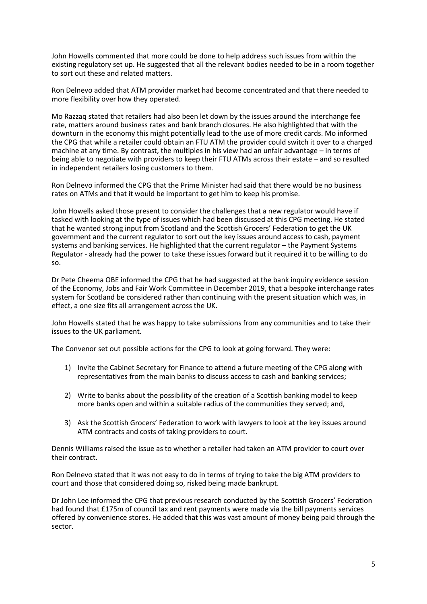John Howells commented that more could be done to help address such issues from within the existing regulatory set up. He suggested that all the relevant bodies needed to be in a room together to sort out these and related matters.

Ron Delnevo added that ATM provider market had become concentrated and that there needed to more flexibility over how they operated.

Mo Razzaq stated that retailers had also been let down by the issues around the interchange fee rate, matters around business rates and bank branch closures. He also highlighted that with the downturn in the economy this might potentially lead to the use of more credit cards. Mo informed the CPG that while a retailer could obtain an FTU ATM the provider could switch it over to a charged machine at any time. By contrast, the multiples in his view had an unfair advantage – in terms of being able to negotiate with providers to keep their FTU ATMs across their estate – and so resulted in independent retailers losing customers to them.

Ron Delnevo informed the CPG that the Prime Minister had said that there would be no business rates on ATMs and that it would be important to get him to keep his promise.

John Howells asked those present to consider the challenges that a new regulator would have if tasked with looking at the type of issues which had been discussed at this CPG meeting. He stated that he wanted strong input from Scotland and the Scottish Grocers' Federation to get the UK government and the current regulator to sort out the key issues around access to cash, payment systems and banking services. He highlighted that the current regulator – the Payment Systems Regulator - already had the power to take these issues forward but it required it to be willing to do so.

Dr Pete Cheema OBE informed the CPG that he had suggested at the bank inquiry evidence session of the Economy, Jobs and Fair Work Committee in December 2019, that a bespoke interchange rates system for Scotland be considered rather than continuing with the present situation which was, in effect, a one size fits all arrangement across the UK.

John Howells stated that he was happy to take submissions from any communities and to take their issues to the UK parliament.

The Convenor set out possible actions for the CPG to look at going forward. They were:

- 1) Invite the Cabinet Secretary for Finance to attend a future meeting of the CPG along with representatives from the main banks to discuss access to cash and banking services;
- 2) Write to banks about the possibility of the creation of a Scottish banking model to keep more banks open and within a suitable radius of the communities they served; and,
- 3) Ask the Scottish Grocers' Federation to work with lawyers to look at the key issues around ATM contracts and costs of taking providers to court.

Dennis Williams raised the issue as to whether a retailer had taken an ATM provider to court over their contract.

Ron Delnevo stated that it was not easy to do in terms of trying to take the big ATM providers to court and those that considered doing so, risked being made bankrupt.

Dr John Lee informed the CPG that previous research conducted by the Scottish Grocers' Federation had found that £175m of council tax and rent payments were made via the bill payments services offered by convenience stores. He added that this was vast amount of money being paid through the sector.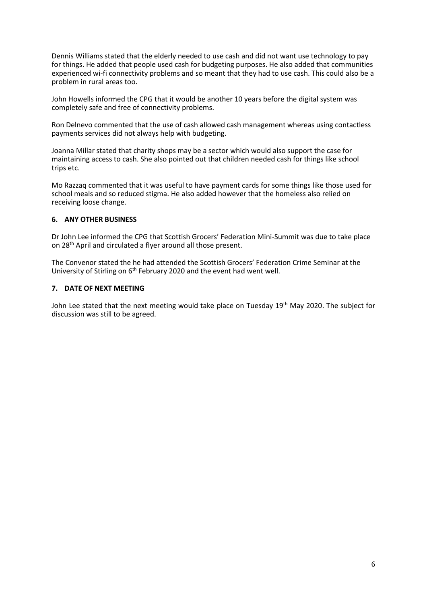Dennis Williams stated that the elderly needed to use cash and did not want use technology to pay for things. He added that people used cash for budgeting purposes. He also added that communities experienced wi-fi connectivity problems and so meant that they had to use cash. This could also be a problem in rural areas too.

John Howells informed the CPG that it would be another 10 years before the digital system was completely safe and free of connectivity problems.

Ron Delnevo commented that the use of cash allowed cash management whereas using contactless payments services did not always help with budgeting.

Joanna Millar stated that charity shops may be a sector which would also support the case for maintaining access to cash. She also pointed out that children needed cash for things like school trips etc.

Mo Razzaq commented that it was useful to have payment cards for some things like those used for school meals and so reduced stigma. He also added however that the homeless also relied on receiving loose change.

# **6. ANY OTHER BUSINESS**

Dr John Lee informed the CPG that Scottish Grocers' Federation Mini-Summit was due to take place on 28th April and circulated a flyer around all those present.

The Convenor stated the he had attended the Scottish Grocers' Federation Crime Seminar at the University of Stirling on 6<sup>th</sup> February 2020 and the event had went well.

#### **7. DATE OF NEXT MEETING**

John Lee stated that the next meeting would take place on Tuesday 19<sup>th</sup> May 2020. The subject for discussion was still to be agreed.